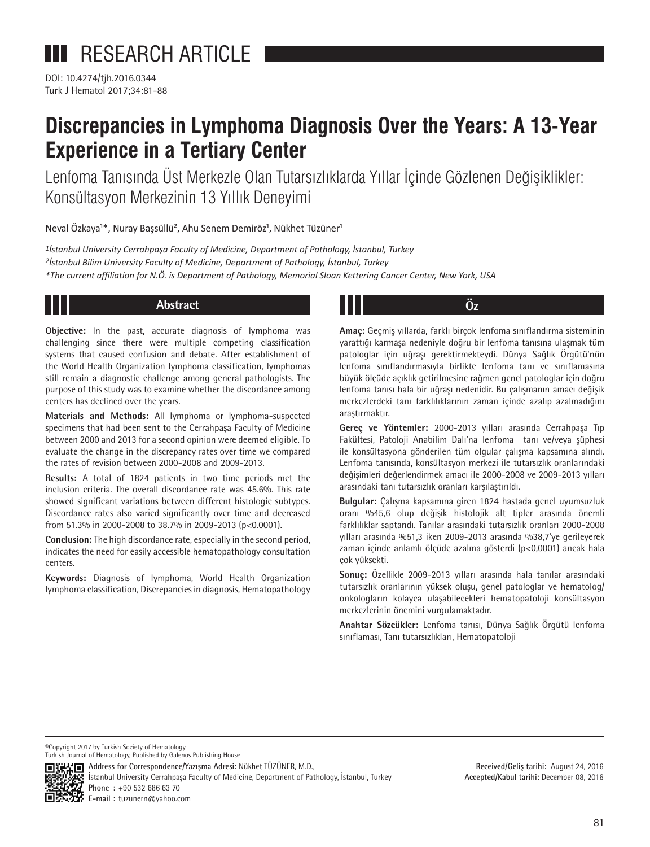DOI: 10.4274/tjh.2016.0344 Turk J Hematol 2017;34:81-88

# **Discrepancies in Lymphoma Diagnosis Over the Years: A 13-Year Experience in a Tertiary Center**

Lenfoma Tanısında Üst Merkezle Olan Tutarsızlıklarda Yıllar İçinde Gözlenen Değişiklikler: Konsültasyon Merkezinin 13 Yıllık Deneyimi

Neval Özkaya<sup>1\*</sup>, Nuray Başsüllü<sup>2</sup>, Ahu Senem Demiröz<sup>1</sup>, Nükhet Tüzüner<sup>1</sup>

*1İstanbul University Cerrahpaşa Faculty of Medicine, Department of Pathology, İstanbul, Turkey 2İstanbul Bilim University Faculty of Medicine, Department of Pathology, İstanbul, Turkey \*The current affiliation for N.Ö. is Department of Pathology, Memorial Sloan Kettering Cancer Center, New York, USA*

# **Abstract Öz**

**Objective:** In the past, accurate diagnosis of lymphoma was challenging since there were multiple competing classification systems that caused confusion and debate. After establishment of the World Health Organization lymphoma classification, lymphomas still remain a diagnostic challenge among general pathologists. The purpose of this study was to examine whether the discordance among centers has declined over the years.

**Materials and Methods:** All lymphoma or lymphoma-suspected specimens that had been sent to the Cerrahpaşa Faculty of Medicine between 2000 and 2013 for a second opinion were deemed eligible. To evaluate the change in the discrepancy rates over time we compared the rates of revision between 2000-2008 and 2009-2013.

**Results:** A total of 1824 patients in two time periods met the inclusion criteria. The overall discordance rate was 45.6%. This rate showed significant variations between different histologic subtypes. Discordance rates also varied significantly over time and decreased from 51.3% in 2000-2008 to 38.7% in 2009-2013 (p<0.0001).

**Conclusion:** The high discordance rate, especially in the second period, indicates the need for easily accessible hematopathology consultation centers.

**Keywords:** Diagnosis of lymphoma, World Health Organization lymphoma classification, Discrepancies in diagnosis, Hematopathology

**Amaç:** Geçmiş yıllarda, farklı birçok lenfoma sınıflandırma sisteminin yarattığı karmaşa nedeniyle doğru bir lenfoma tanısına ulaşmak tüm patologlar için uğraşı gerektirmekteydi. Dünya Sağlık Örgütü'nün lenfoma sınıflandırmasıyla birlikte lenfoma tanı ve sınıflamasına büyük ölçüde açıklık getirilmesine rağmen genel patologlar için doğru lenfoma tanısı hala bir uğraşı nedenidir. Bu çalışmanın amacı değişik merkezlerdeki tanı farklılıklarının zaman içinde azalıp azalmadığını araştırmaktır.

**Gereç ve Yöntemler:** 2000-2013 yılları arasında Cerrahpaşa Tıp Fakültesi, Patoloji Anabilim Dalı'na lenfoma tanı ve/veya şüphesi ile konsültasyona gönderilen tüm olgular çalışma kapsamına alındı. Lenfoma tanısında, konsültasyon merkezi ile tutarsızlık oranlarındaki değişimleri değerlendirmek amacı ile 2000-2008 ve 2009-2013 yılları arasındaki tanı tutarsızlık oranları karşılaştırıldı.

**Bulgular:** Çalışma kapsamına giren 1824 hastada genel uyumsuzluk oranı %45,6 olup değişik histolojik alt tipler arasında önemli farklılıklar saptandı. Tanılar arasındaki tutarsızlık oranları 2000-2008 yılları arasında %51,3 iken 2009-2013 arasında %38,7'ye gerileyerek zaman içinde anlamlı ölçüde azalma gösterdi (p<0,0001) ancak hala çok yüksekti.

**Sonuç:** Özellikle 2009-2013 yılları arasında hala tanılar arasındaki tutarsızlık oranlarının yüksek oluşu, genel patologlar ve hematolog/ onkologların kolayca ulaşabilecekleri hematopatoloji konsültasyon merkezlerinin önemini vurgulamaktadır.

**Anahtar Sözcükler:** Lenfoma tanısı, Dünya Sağlık Örgütü lenfoma sınıflaması, Tanı tutarsızlıkları, Hematopatoloji

©Copyright 2017 by Turkish Society of Hematology Turkish Journal of Hematology, Published by Galenos Publishing House



**Address for Correspondence/Yazışma Adresi:** Nükhet TÜZÜNER, M.D., İstanbul University Cerrahpaşa Faculty of Medicine, Department of Pathology, İstanbul, Turkey **Phone :** +90 532 686 63 70

**E-mail :** tuzunern@yahoo.com

**Received/Geliş tarihi:** August 24, 2016 **Accepted/Kabul tarihi:** December 08, 2016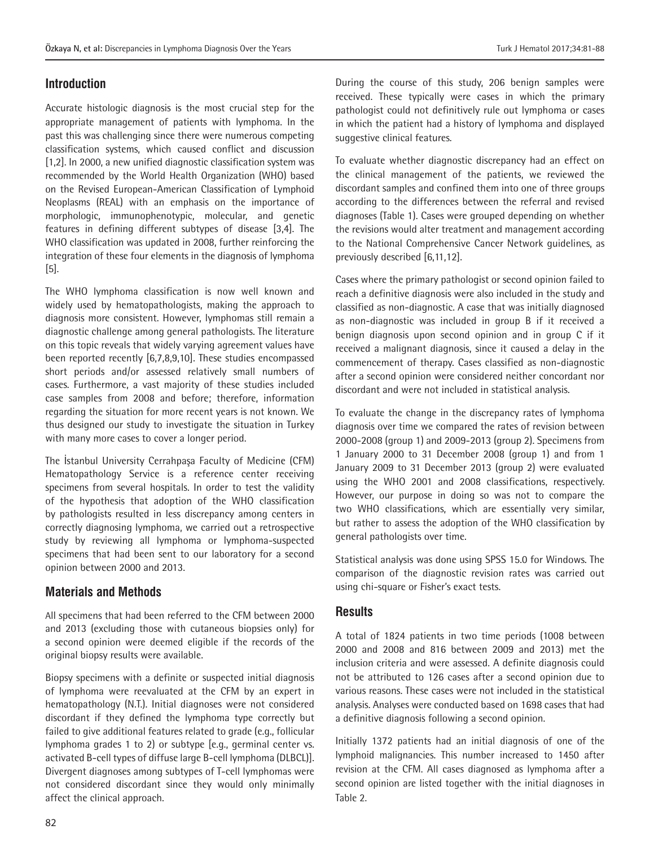## **Introduction**

Accurate histologic diagnosis is the most crucial step for the appropriate management of patients with lymphoma. In the past this was challenging since there were numerous competing classification systems, which caused conflict and discussion [1,2]. In 2000, a new unified diagnostic classification system was recommended by the World Health Organization (WHO) based on the Revised European-American Classification of Lymphoid Neoplasms (REAL) with an emphasis on the importance of morphologic, immunophenotypic, molecular, and genetic features in defining different subtypes of disease [3,4]. The WHO classification was updated in 2008, further reinforcing the integration of these four elements in the diagnosis of lymphoma [5].

The WHO lymphoma classification is now well known and widely used by hematopathologists, making the approach to diagnosis more consistent. However, lymphomas still remain a diagnostic challenge among general pathologists. The literature on this topic reveals that widely varying agreement values have been reported recently [6,7,8,9,10]. These studies encompassed short periods and/or assessed relatively small numbers of cases. Furthermore, a vast majority of these studies included case samples from 2008 and before; therefore, information regarding the situation for more recent years is not known. We thus designed our study to investigate the situation in Turkey with many more cases to cover a longer period.

The İstanbul University Cerrahpaşa Faculty of Medicine (CFM) Hematopathology Service is a reference center receiving specimens from several hospitals. In order to test the validity of the hypothesis that adoption of the WHO classification by pathologists resulted in less discrepancy among centers in correctly diagnosing lymphoma, we carried out a retrospective study by reviewing all lymphoma or lymphoma-suspected specimens that had been sent to our laboratory for a second opinion between 2000 and 2013.

#### **Materials and Methods**

All specimens that had been referred to the CFM between 2000 and 2013 (excluding those with cutaneous biopsies only) for a second opinion were deemed eligible if the records of the original biopsy results were available.

Biopsy specimens with a definite or suspected initial diagnosis of lymphoma were reevaluated at the CFM by an expert in hematopathology (N.T.). Initial diagnoses were not considered discordant if they defined the lymphoma type correctly but failed to give additional features related to grade (e.g., follicular lymphoma grades 1 to 2) or subtype [e.g., germinal center vs. activated B-cell types of diffuse large B-cell lymphoma (DLBCL)]. Divergent diagnoses among subtypes of T-cell lymphomas were not considered discordant since they would only minimally affect the clinical approach.

During the course of this study, 206 benign samples were received. These typically were cases in which the primary pathologist could not definitively rule out lymphoma or cases in which the patient had a history of lymphoma and displayed suggestive clinical features.

To evaluate whether diagnostic discrepancy had an effect on the clinical management of the patients, we reviewed the discordant samples and confined them into one of three groups according to the differences between the referral and revised diagnoses (Table 1). Cases were grouped depending on whether the revisions would alter treatment and management according to the National Comprehensive Cancer Network guidelines, as previously described [6,11,12].

Cases where the primary pathologist or second opinion failed to reach a definitive diagnosis were also included in the study and classified as non-diagnostic. A case that was initially diagnosed as non-diagnostic was included in group B if it received a benign diagnosis upon second opinion and in group C if it received a malignant diagnosis, since it caused a delay in the commencement of therapy. Cases classified as non-diagnostic after a second opinion were considered neither concordant nor discordant and were not included in statistical analysis.

To evaluate the change in the discrepancy rates of lymphoma diagnosis over time we compared the rates of revision between 2000-2008 (group 1) and 2009-2013 (group 2). Specimens from 1 January 2000 to 31 December 2008 (group 1) and from 1 January 2009 to 31 December 2013 (group 2) were evaluated using the WHO 2001 and 2008 classifications, respectively. However, our purpose in doing so was not to compare the two WHO classifications, which are essentially very similar, but rather to assess the adoption of the WHO classification by general pathologists over time.

Statistical analysis was done using SPSS 15.0 for Windows. The comparison of the diagnostic revision rates was carried out using chi-square or Fisher's exact tests.

#### **Results**

A total of 1824 patients in two time periods (1008 between 2000 and 2008 and 816 between 2009 and 2013) met the inclusion criteria and were assessed. A definite diagnosis could not be attributed to 126 cases after a second opinion due to various reasons. These cases were not included in the statistical analysis. Analyses were conducted based on 1698 cases that had a definitive diagnosis following a second opinion.

Initially 1372 patients had an initial diagnosis of one of the lymphoid malignancies. This number increased to 1450 after revision at the CFM. All cases diagnosed as lymphoma after a second opinion are listed together with the initial diagnoses in Table 2.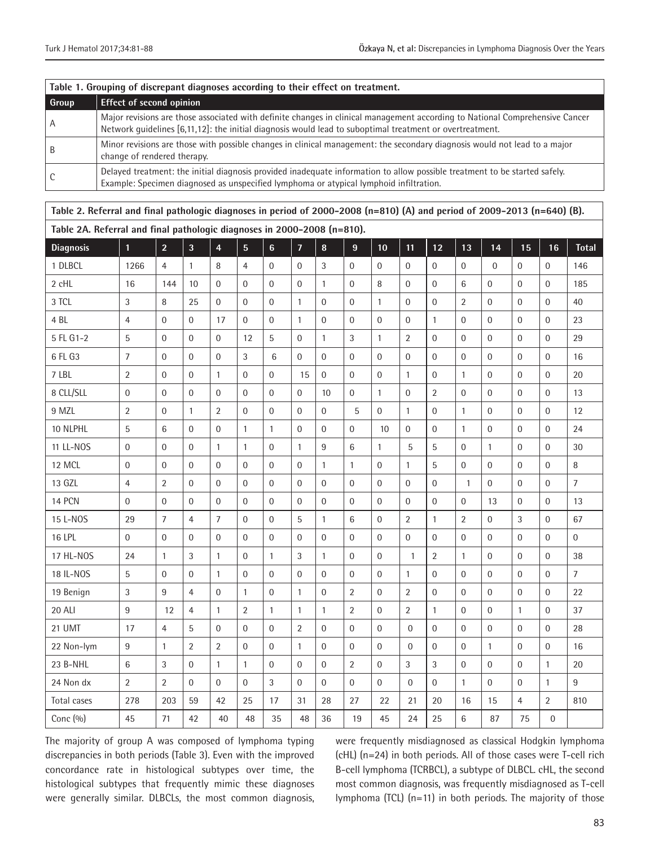| Table 1. Grouping of discrepant diagnoses according to their effect on treatment. |                                                                                                                                                                                                                                          |  |  |  |  |  |  |
|-----------------------------------------------------------------------------------|------------------------------------------------------------------------------------------------------------------------------------------------------------------------------------------------------------------------------------------|--|--|--|--|--|--|
| Group                                                                             | <b>Effect of second opinion</b>                                                                                                                                                                                                          |  |  |  |  |  |  |
| A                                                                                 | Major revisions are those associated with definite changes in clinical management according to National Comprehensive Cancer<br>Network quidelines [6,11,12]: the initial diagnosis would lead to suboptimal treatment or overtreatment. |  |  |  |  |  |  |
| B                                                                                 | Minor revisions are those with possible changes in clinical management: the secondary diagnosis would not lead to a major<br>change of rendered therapy.                                                                                 |  |  |  |  |  |  |
|                                                                                   | Delayed treatment: the initial diagnosis provided inadequate information to allow possible treatment to be started safely.<br>Example: Specimen diagnosed as unspecified lymphoma or atypical lymphoid infiltration.                     |  |  |  |  |  |  |

| Table 2. Referral and final pathologic diagnoses in period of 2000–2008 (n=810) (A) and period of 2009–2013 (n=640) (B). |                  |                  |                  |                |                  |                  |                  |                  |                |                |                  |                  |                  |                  |                  |                  |                |
|--------------------------------------------------------------------------------------------------------------------------|------------------|------------------|------------------|----------------|------------------|------------------|------------------|------------------|----------------|----------------|------------------|------------------|------------------|------------------|------------------|------------------|----------------|
| Table 2A. Referral and final pathologic diagnoses in 2000-2008 (n=810).                                                  |                  |                  |                  |                |                  |                  |                  |                  |                |                |                  |                  |                  |                  |                  |                  |                |
| <b>Diagnosis</b>                                                                                                         | $\overline{1}$   | $\overline{2}$   | $\overline{3}$   | $\overline{4}$ | $\overline{5}$   | $6\overline{6}$  | $\overline{7}$   | 8                | $\overline{9}$ | 10             | 11               | 12               | 13               | 14               | 15               | 16               | <b>Total</b>   |
| 1 DLBCL                                                                                                                  | 1266             | $\overline{4}$   | $\mathbf{1}$     | 8              | $\overline{4}$   | $\mathbf 0$      | $\mathbf 0$      | 3                | $\mathbf 0$    | $\overline{0}$ | $\overline{0}$   | $\mathbf 0$      | $\boldsymbol{0}$ | $\boldsymbol{0}$ | $\mathbf 0$      | $\overline{0}$   | 146            |
| 2 cHL                                                                                                                    | 16               | 144              | 10               | $\overline{0}$ | $\mathbf{0}$     | $\mathbf{0}$     | $\mathbf 0$      | $\mathbf{1}$     | $\mathbf{0}$   | 8              | $\mathbf{0}$     | $\boldsymbol{0}$ | $\,6$            | $\mathbf 0$      | $\mathbf{0}$     | $\mathbf{0}$     | 185            |
| 3 TCL                                                                                                                    | 3                | 8                | 25               | $\overline{0}$ | $\overline{0}$   | $\overline{0}$   | $\mathbf{1}$     | $\mathbf{0}$     | $\mathbf{0}$   | $\mathbf{1}$   | $\overline{0}$   | $\mathbf 0$      | $\overline{2}$   | $\mathbf{0}$     | $\mathbf 0$      | $\mathbf{0}$     | 40             |
| 4 <sub>BL</sub>                                                                                                          | $\overline{4}$   | $\overline{0}$   | $\overline{0}$   | 17             | $\overline{0}$   | $\boldsymbol{0}$ | $\mathbf{1}$     | $\overline{0}$   | $\overline{0}$ | $\overline{0}$ | $\overline{0}$   | $\mathbf{1}$     | $\boldsymbol{0}$ | $\overline{0}$   | $\mathbf{0}$     | $\mathbf 0$      | 23             |
| 5 FL G1-2                                                                                                                | 5                | $\boldsymbol{0}$ | $\mathbf{0}$     | $\overline{0}$ | 12               | 5                | $\boldsymbol{0}$ | $\mathbf{1}$     | 3              | $\mathbf{1}$   | $\overline{2}$   | $\mathbf 0$      | $\boldsymbol{0}$ | $\overline{0}$   | $\mathbf{0}$     | $\Omega$         | 29             |
| 6 FL G3                                                                                                                  | $\overline{7}$   | $\boldsymbol{0}$ | $\boldsymbol{0}$ | $\overline{0}$ | $\mathfrak{Z}$   | $\,6\,$          | $\boldsymbol{0}$ | $\boldsymbol{0}$ | $\mathbf{0}$   | $\mathbf{0}$   | $\mathbf 0$      | $\boldsymbol{0}$ | $\boldsymbol{0}$ | $\boldsymbol{0}$ | $\boldsymbol{0}$ | $\boldsymbol{0}$ | 16             |
| 7 LBL                                                                                                                    | $\overline{2}$   | $\overline{0}$   | $\mathbf{0}$     | $\mathbf{1}$   | $\mathbf{0}$     | $\mathbf{0}$     | 15               | $\Omega$         | $\Omega$       | $\Omega$       | $\mathbf{1}$     | $\mathbf 0$      | $\mathbf{1}$     | $\overline{0}$   | $\mathbf{0}$     | $\Omega$         | 20             |
| 8 CLL/SLL                                                                                                                | $\boldsymbol{0}$ | $\boldsymbol{0}$ | $\mathbf{0}$     | $\overline{0}$ | $\boldsymbol{0}$ | $\boldsymbol{0}$ | $\boldsymbol{0}$ | 10               | $\mathbf{0}$   | $\mathbf{1}$   | $\overline{0}$   | $\overline{2}$   | $\boldsymbol{0}$ | $\boldsymbol{0}$ | $\overline{0}$   | $\mathbf{0}$     | 13             |
| 9 MZL                                                                                                                    | 2                | $\mathbf 0$      | $\mathbf{1}$     | 2              | $\mathbf{0}$     | $\mathbf 0$      | $\mathbf 0$      | $\mathbf{0}$     | 5              | $\Omega$       | $\mathbf{1}$     | $\boldsymbol{0}$ | $\mathbf{1}$     | $\mathbf 0$      | $\mathbf{0}$     | $\mathbf{0}$     | 12             |
| 10 NLPHL                                                                                                                 | 5                | $\,6$            | $\Omega$         | $\Omega$       | $\mathbf{1}$     | $\mathbf{1}$     | $\boldsymbol{0}$ | $\Omega$         | $\Omega$       | 10             | $\mathbf 0$      | $\boldsymbol{0}$ | $\mathbf{1}$     | $\boldsymbol{0}$ | $\boldsymbol{0}$ | $\Omega$         | 24             |
| 11 LL-NOS                                                                                                                | $\overline{0}$   | $\mathbf 0$      | $\mathbf{0}$     | $\mathbf{1}$   | $\mathbf{1}$     | $\mathbf 0$      | $\mathbf{1}$     | 9                | 6              | $\mathbf{1}$   | 5                | 5                | $\boldsymbol{0}$ | $\mathbf{1}$     | $\mathbf 0$      | $\mathbf{0}$     | 30             |
| 12 MCL                                                                                                                   | $\overline{0}$   | $\boldsymbol{0}$ | $\mathbf{0}$     | $\Omega$       | $\mathbf{0}$     | $\mathbf{0}$     | $\mathbf{0}$     | $\mathbf{1}$     | $\mathbf{1}$   | $\Omega$       | $\mathbf{1}$     | $\mathbf 5$      | $\overline{0}$   | $\mathbf{0}$     | $\mathbf{0}$     | $\mathbf{0}$     | 8              |
| 13 GZL                                                                                                                   | $\overline{4}$   | $\overline{2}$   | $\overline{0}$   | $\overline{0}$ | $\mathbf{0}$     | $\mathbf{0}$     | $\mathbf{0}$     | $\overline{0}$   | $\overline{0}$ | $\overline{0}$ | $\overline{0}$   | $\mathbf{0}$     | $\mathbf{1}$     | $\overline{0}$   | $\mathbf 0$      | $\mathbf{0}$     | $\overline{7}$ |
| 14 PCN                                                                                                                   | $\boldsymbol{0}$ | $\boldsymbol{0}$ | $\mathbf 0$      | $\overline{0}$ | $\mathbf 0$      | $\mathbf 0$      | $\mathbf 0$      | $\mathbf{0}$     | $\overline{0}$ | $\mathbf{0}$   | $\boldsymbol{0}$ | $\boldsymbol{0}$ | $\boldsymbol{0}$ | 13               | $\boldsymbol{0}$ | $\mathbf{0}$     | 13             |
| 15 L-NOS                                                                                                                 | 29               | $\overline{7}$   | $\overline{4}$   | $\overline{7}$ | $\mathbf{0}$     | $\overline{0}$   | $\overline{5}$   | $\mathbf{1}$     | 6              | $\overline{0}$ | $\overline{2}$   | $\mathbf{1}$     | $\overline{2}$   | $\boldsymbol{0}$ | 3                | $\mathbf{0}$     | 67             |
| <b>16 LPL</b>                                                                                                            | $\overline{0}$   | $\overline{0}$   | $\mathbf{0}$     | $\Omega$       | $\overline{0}$   | $\overline{0}$   | $\mathbf{0}$     | $\mathbf{0}$     | $\mathbf{0}$   | $\overline{0}$ | $\overline{0}$   | $\mathbf 0$      | $\mathbf{0}$     | $\mathbf{0}$     | $\overline{0}$   | $\mathbf{0}$     | $\overline{0}$ |
| 17 HL-NOS                                                                                                                | 24               | $\mathbf{1}$     | $\sqrt{3}$       | $\mathbf{1}$   | $\mathbf 0$      | $\mathbf{1}$     | 3                | $\mathbf{1}$     | $\overline{0}$ | $\overline{0}$ | $\mathbf{1}$     | $\overline{2}$   | $\mathbf{1}$     | $\mathbf{0}$     | $\mathbf{0}$     | $\overline{0}$   | 38             |
| 18 IL-NOS                                                                                                                | 5                | $\boldsymbol{0}$ | $\mathbf{0}$     | $\mathbf{1}$   | $\mathbf{0}$     | $\overline{0}$   | $\boldsymbol{0}$ | $\mathbf{0}$     | $\overline{0}$ | $\overline{0}$ | $\mathbf{1}$     | $\mathbf 0$      | $\boldsymbol{0}$ | $\overline{0}$   | $\mathbf{0}$     | $\Omega$         | $\overline{7}$ |
| 19 Benign                                                                                                                | $\mathfrak{Z}$   | $\boldsymbol{9}$ | $\overline{4}$   | $\overline{0}$ | $\mathbf{1}$     | $\boldsymbol{0}$ | $\mathbf{1}$     | $\boldsymbol{0}$ | $\overline{2}$ | $\overline{0}$ | $\overline{2}$   | $\boldsymbol{0}$ | $\boldsymbol{0}$ | $\boldsymbol{0}$ | $\boldsymbol{0}$ | $\boldsymbol{0}$ | 22             |
| <b>20 ALI</b>                                                                                                            | 9                | 12               | $\overline{4}$   | $\mathbf{1}$   | $\overline{2}$   | $\mathbf{1}$     | $\mathbf{1}$     | $\mathbf{1}$     | $\overline{2}$ | $\Omega$       | $\overline{2}$   | $\mathbf{1}$     | $\boldsymbol{0}$ | $\overline{0}$   | $\mathbf{1}$     | $\mathbf{0}$     | 37             |
| 21 UMT                                                                                                                   | 17               | $\overline{4}$   | 5                | $\overline{0}$ | $\mathbf 0$      | $\boldsymbol{0}$ | $\overline{2}$   | $\overline{0}$   | $\mathbf 0$    | $\overline{0}$ | $\mathbf{0}$     | $\boldsymbol{0}$ | $\boldsymbol{0}$ | $\boldsymbol{0}$ | $\mathbf{0}$     | $\mathbf{0}$     | 28             |
| 22 Non-lym                                                                                                               | 9                | $\mathbf{1}$     | $\overline{2}$   | 2              | $\mathbf{0}$     | $\boldsymbol{0}$ | $\mathbf{1}$     | $\mathbf{0}$     | $\mathbf{0}$   | $\Omega$       | $\overline{0}$   | $\boldsymbol{0}$ | $\boldsymbol{0}$ | $\mathbf{1}$     | $\mathbf 0$      | $\mathbf{0}$     | 16             |
| 23 B-NHL                                                                                                                 | 6                | 3                | $\overline{0}$   | $\mathbf{1}$   | $\mathbf{1}$     | $\overline{0}$   | $\overline{0}$   | $\Omega$         | $\overline{2}$ | $\overline{0}$ | 3                | 3                | $\boldsymbol{0}$ | $\overline{0}$   | $\overline{0}$   | $\mathbf{1}$     | 20             |
| 24 Non dx                                                                                                                | $\overline{2}$   | $\overline{2}$   | $\overline{0}$   | $\overline{0}$ | $\overline{0}$   | 3                | $\boldsymbol{0}$ | $\overline{0}$   | $\mathbf{0}$   | $\overline{0}$ | $\mathbf{0}$     | $\mathbf{0}$     | $\mathbf{1}$     | $\overline{0}$   | $\boldsymbol{0}$ | $\mathbf{1}$     | 9              |
| Total cases                                                                                                              | 278              | 203              | 59               | 42             | 25               | 17               | 31               | 28               | 27             | 22             | 21               | 20               | 16               | 15               | $\overline{4}$   | $\overline{2}$   | 810            |
| Conc (%)                                                                                                                 | 45               | 71               | 42               | 40             | 48               | 35               | 48               | 36               | 19             | 45             | 24               | 25               | $\,$ 6 $\,$      | 87               | 75               | $\boldsymbol{0}$ |                |

The majority of group A was composed of lymphoma typing discrepancies in both periods (Table 3). Even with the improved concordance rate in histological subtypes over time, the histological subtypes that frequently mimic these diagnoses were generally similar. DLBCLs, the most common diagnosis,

were frequently misdiagnosed as classical Hodgkin lymphoma (cHL) (n=24) in both periods. All of those cases were T-cell rich B-cell lymphoma (TCRBCL), a subtype of DLBCL. cHL, the second most common diagnosis, was frequently misdiagnosed as T-cell lymphoma (TCL) (n=11) in both periods. The majority of those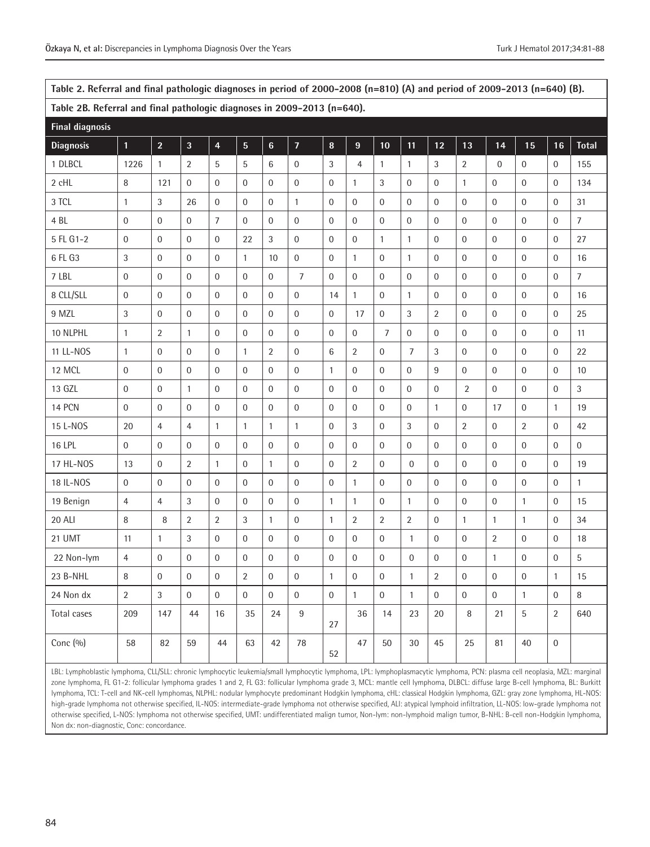| Table 2. Referral and final pathologic diagnoses in period of 2000-2008 (n=810) (A) and period of 2009-2013 (n=640) (B). |                                                                                                                                                                                                                                                                                                                                                           |                |                  |                         |                         |                  |                  |                  |                  |                  |                  |                  |                  |                  |                  |                |                  |
|--------------------------------------------------------------------------------------------------------------------------|-----------------------------------------------------------------------------------------------------------------------------------------------------------------------------------------------------------------------------------------------------------------------------------------------------------------------------------------------------------|----------------|------------------|-------------------------|-------------------------|------------------|------------------|------------------|------------------|------------------|------------------|------------------|------------------|------------------|------------------|----------------|------------------|
| Table 2B. Referral and final pathologic diagnoses in 2009-2013 (n=640).                                                  |                                                                                                                                                                                                                                                                                                                                                           |                |                  |                         |                         |                  |                  |                  |                  |                  |                  |                  |                  |                  |                  |                |                  |
| <b>Final diagnosis</b>                                                                                                   |                                                                                                                                                                                                                                                                                                                                                           |                |                  |                         |                         |                  |                  |                  |                  |                  |                  |                  |                  |                  |                  |                |                  |
| <b>Diagnosis</b>                                                                                                         | $\overline{1}$                                                                                                                                                                                                                                                                                                                                            | $\overline{2}$ | $\mathbf{3}$     | $\overline{\mathbf{4}}$ | $\overline{\mathbf{5}}$ | $\bf 6$          | $\overline{7}$   | $\bf 8$          | 9                | 10               | 11               | 12               | 13               | 14               | 15               | 16             | <b>Total</b>     |
| 1 DLBCL                                                                                                                  | 1226                                                                                                                                                                                                                                                                                                                                                      | $\mathbf{1}$   | 2                | 5                       | 5                       | 6                | $\mathbf 0$      | 3                | 4                | 1                | $\mathbf{1}$     | 3                | $\overline{2}$   | $\mathbf 0$      | $\boldsymbol{0}$ | 0              | 155              |
| 2 cHL                                                                                                                    | 8                                                                                                                                                                                                                                                                                                                                                         | 121            | $\mathbf{0}$     | $\mathbf{0}$            | $\mathbf 0$             | $\boldsymbol{0}$ | $\overline{0}$   | $\mathbf 0$      | $\mathbf{1}$     | 3                | $\mathbf 0$      | $\boldsymbol{0}$ | $\mathbf{1}$     | $\mathbf 0$      | $\mathbf{0}$     | $\mathbf 0$    | 134              |
| 3 TCL                                                                                                                    | 1                                                                                                                                                                                                                                                                                                                                                         | 3              | 26               | $\mathbf 0$             | $\mathbf 0$             | $\boldsymbol{0}$ | $\mathbf{1}$     | $\mathbf 0$      | $\mathbf{0}$     | $\boldsymbol{0}$ | $\boldsymbol{0}$ | $\boldsymbol{0}$ | $\mathbf 0$      | $\mathbf 0$      | $\overline{0}$   | $\mathbf 0$    | 31               |
| 4 <sub>BL</sub>                                                                                                          | $\mathbf{0}$                                                                                                                                                                                                                                                                                                                                              | $\overline{0}$ | $\mathbf{0}$     | $\overline{7}$          | $\mathbf{0}$            | $\mathbf{0}$     | $\overline{0}$   | $\mathbf{0}$     | $\mathbf{0}$     | $\mathbf{0}$     | $\overline{0}$   | $\boldsymbol{0}$ | $\overline{0}$   | $\overline{0}$   | $\mathbf{0}$     | $\overline{0}$ | $\overline{7}$   |
| 5 FL G1-2                                                                                                                | $\mathbf{0}$                                                                                                                                                                                                                                                                                                                                              | 0              | $\mathbf 0$      | $\mathbf 0$             | 22                      | $\mathfrak{Z}$   | $\overline{0}$   | $\mathbf 0$      | $\mathbf{0}$     | $\mathbf{1}$     | $\mathbf{1}$     | $\boldsymbol{0}$ | $\mathbf 0$      | $\mathbf 0$      | $\mathbf{0}$     | $\mathbf 0$    | 27               |
| 6 FL G3                                                                                                                  | 3                                                                                                                                                                                                                                                                                                                                                         | $\overline{0}$ | $\mathbf{0}$     | $\mathbf{0}$            | $\mathbf{1}$            | 10               | $\mathbf 0$      | $\mathbf 0$      | $\mathbf{1}$     | $\mathbf{0}$     | $\mathbf{1}$     | $\boldsymbol{0}$ | $\mathbf 0$      | $\boldsymbol{0}$ | $\boldsymbol{0}$ | $\mathbf 0$    | 16               |
| 7 LBL                                                                                                                    | $\mathbf 0$                                                                                                                                                                                                                                                                                                                                               | 0              | $\mathbf 0$      | $\mathbf 0$             | $\mathbf 0$             | $\mathbf 0$      | 7                | $\mathbf 0$      | $\boldsymbol{0}$ | $\overline{0}$   | $\mathbf 0$      | $\boldsymbol{0}$ | $\mathbf 0$      | $\mathbf 0$      | $\boldsymbol{0}$ | 0              | $\overline{7}$   |
| 8 CLL/SLL                                                                                                                | $\mathbf 0$                                                                                                                                                                                                                                                                                                                                               | $\overline{0}$ | $\mathbf{0}$     | $\mathbf{0}$            | $\boldsymbol{0}$        | $\boldsymbol{0}$ | $\overline{0}$   | 14               | $\mathbf{1}$     | $\mathbf{0}$     | $\mathbf{1}$     | $\boldsymbol{0}$ | $\mathbf 0$      | $\mathbf 0$      | $\boldsymbol{0}$ | $\overline{0}$ | 16               |
| 9 MZL                                                                                                                    | 3                                                                                                                                                                                                                                                                                                                                                         | 0              | $\mathbf 0$      | 0                       | $\mathbf 0$             | $\mathbf 0$      | $\mathbf 0$      | 0                | 17               | $\overline{0}$   | 3                | $\overline{2}$   | $\mathbf 0$      | $\mathbf 0$      | $\boldsymbol{0}$ | 0              | 25               |
| 10 NLPHL                                                                                                                 | 1                                                                                                                                                                                                                                                                                                                                                         | $\overline{2}$ | 1                | $\overline{0}$          | $\mathbf 0$             | $\mathbf 0$      | $\overline{0}$   | 0                | $\mathbf{0}$     | 7                | $\boldsymbol{0}$ | $\mathbf 0$      | $\mathbf 0$      | 0                | $\mathbf{0}$     | $\overline{0}$ | 11               |
| 11 LL-NOS                                                                                                                | $\mathbf{1}$                                                                                                                                                                                                                                                                                                                                              | $\overline{0}$ | $\mathbf{0}$     | $\mathbf{0}$            | $\mathbf{1}$            | $\overline{2}$   | $\overline{0}$   | 6                | $\overline{2}$   | $\overline{0}$   | $\overline{7}$   | 3                | $\mathbf{0}$     | $\overline{0}$   | $\mathbf{0}$     | $\overline{0}$ | 22               |
| 12 MCL                                                                                                                   | $\mathbf{0}$                                                                                                                                                                                                                                                                                                                                              | $\mathbf{0}$   | $\mathbf{0}$     | $\mathbf{0}$            | $\mathbf 0$             | $\mathbf 0$      | $\overline{0}$   | $\mathbf{1}$     | $\mathbf{0}$     | $\mathbf{0}$     | $\boldsymbol{0}$ | 9                | $\mathbf 0$      | $\mathbf 0$      | $\mathbf{0}$     | $\overline{0}$ | 10               |
| 13 GZL                                                                                                                   | $\mathbf{0}$                                                                                                                                                                                                                                                                                                                                              | $\mathbf{0}$   | $\mathbf{1}$     | $\Omega$                | $\mathbf{0}$            | $\mathbf{0}$     | $\mathbf{0}$     | $\mathbf{0}$     | $\mathbf{0}$     | $\mathbf{0}$     | $\mathbf{0}$     | $\boldsymbol{0}$ | $\overline{2}$   | $\overline{0}$   | $\mathbf{0}$     | $\overline{0}$ | $\overline{3}$   |
| <b>14 PCN</b>                                                                                                            | $\mathbf{0}$                                                                                                                                                                                                                                                                                                                                              | $\mathbf{0}$   | $\mathbf{0}$     | $\mathbf{0}$            | $\boldsymbol{0}$        | $\boldsymbol{0}$ | $\mathbf{0}$     | $\mathbf 0$      | $\mathbf{0}$     | $\overline{0}$   | $\mathbf 0$      | $\mathbf{1}$     | $\boldsymbol{0}$ | 17               | $\boldsymbol{0}$ | $\mathbf{1}$   | 19               |
| 15 L-NOS                                                                                                                 | 20                                                                                                                                                                                                                                                                                                                                                        | $\overline{4}$ | $\overline{4}$   | $\mathbf{1}$            | $\mathbf{1}$            | $\mathbf{1}$     | $\mathbf{1}$     | $\mathbf 0$      | 3                | $\boldsymbol{0}$ | 3                | $\boldsymbol{0}$ | $\overline{2}$   | $\mathbf 0$      | $\overline{2}$   | $\overline{0}$ | 42               |
| <b>16 LPL</b>                                                                                                            | $\mathbf 0$                                                                                                                                                                                                                                                                                                                                               | 0              | $\mathbf 0$      | $\mathbf 0$             | $\mathbf 0$             | $\boldsymbol{0}$ | $\mathbf 0$      | $\mathbf 0$      | $\boldsymbol{0}$ | $\boldsymbol{0}$ | $\mathbf 0$      | $\boldsymbol{0}$ | $\mathbf 0$      | $\mathbf 0$      | $\boldsymbol{0}$ | $\mathbf 0$    | $\boldsymbol{0}$ |
| 17 HL-NOS                                                                                                                | 13                                                                                                                                                                                                                                                                                                                                                        | $\mathbf{0}$   | $\overline{2}$   | $\mathbf{1}$            | $\mathbf{0}$            | $\mathbf{1}$     | $\overline{0}$   | $\mathbf{0}$     | $\overline{2}$   | $\mathbf{0}$     | $\mathbf{0}$     | $\mathbf 0$      | $\overline{0}$   | $\overline{0}$   | $\overline{0}$   | $\overline{0}$ | 19               |
| 18 IL-NOS                                                                                                                | $\mathbf{0}$                                                                                                                                                                                                                                                                                                                                              | $\mathbf{0}$   | $\mathbf{0}$     | $\mathbf{0}$            | $\boldsymbol{0}$        | $\mathbf 0$      | $\overline{0}$   | $\mathbf 0$      | $\mathbf{1}$     | $\mathbf{0}$     | $\mathbf 0$      | $\boldsymbol{0}$ | $\mathbf 0$      | $\boldsymbol{0}$ | $\mathbf{0}$     | $\mathbf 0$    | $\mathbf{1}$     |
| 19 Benign                                                                                                                | $\overline{4}$                                                                                                                                                                                                                                                                                                                                            | $\overline{4}$ | 3                | $\mathbf{0}$            | $\mathbf{0}$            | $\mathbf 0$      | $\overline{0}$   | $\mathbf{1}$     | $\mathbf{1}$     | $\mathbf{0}$     | $\mathbf{1}$     | $\boldsymbol{0}$ | $\mathbf 0$      | $\boldsymbol{0}$ | $\mathbf{1}$     | $\overline{0}$ | 15               |
| 20 ALI                                                                                                                   | 8                                                                                                                                                                                                                                                                                                                                                         | 8              | 2                | $\overline{2}$          | 3                       | $\mathbf{1}$     | $\mathbf 0$      | $\mathbf{1}$     | 2                | $\overline{2}$   | $\overline{2}$   | $\boldsymbol{0}$ | $\mathbf{1}$     | $\mathbf{1}$     | $\mathbf{1}$     | $\mathbf 0$    | 34               |
| 21 UMT                                                                                                                   | 11                                                                                                                                                                                                                                                                                                                                                        | 1              | 3                | $\overline{0}$          | $\mathbf 0$             | $\boldsymbol{0}$ | $\mathbf 0$      | 0                | $\boldsymbol{0}$ | $\overline{0}$   | $\mathbf{1}$     | $\boldsymbol{0}$ | $\boldsymbol{0}$ | $\overline{2}$   | $\boldsymbol{0}$ | 0              | 18               |
| 22 Non-lym                                                                                                               | 4                                                                                                                                                                                                                                                                                                                                                         | 0              | $\boldsymbol{0}$ | 0                       | $\mathbf{0}$            | $\boldsymbol{0}$ | 0                | $\mathbf{0}$     | $\boldsymbol{0}$ | $\mathbf 0$      | 0                | $\boldsymbol{0}$ | $\boldsymbol{0}$ | $\mathbf{1}$     | $\boldsymbol{0}$ | 0              | 5                |
| 23 B-NHL                                                                                                                 | 8                                                                                                                                                                                                                                                                                                                                                         | 0              | $\mathbf 0$      | $\mathbf 0$             | 2                       | $\boldsymbol{0}$ | $\mathbf 0$      | $\mathbf{1}$     | $\boldsymbol{0}$ | $\boldsymbol{0}$ | $\mathbf{1}$     | $\sqrt{2}$       | $\mathbf 0$      | $\mathbf 0$      | $\boldsymbol{0}$ | $\mathbf{1}$   | 15               |
| 24 Non dx                                                                                                                | $\overline{2}$                                                                                                                                                                                                                                                                                                                                            | 3              | $\overline{0}$   | $\overline{0}$          | $\mathbf 0$             | $\boldsymbol{0}$ | $\mathbf 0$      | $\boldsymbol{0}$ | $\mathbf{1}$     | $\mathbf{0}$     | $\mathbf{1}$     | $\boldsymbol{0}$ | $\boldsymbol{0}$ | $\mathbf 0$      | $\mathbf{1}$     | 0              | $\, 8$           |
| Total cases                                                                                                              | 209                                                                                                                                                                                                                                                                                                                                                       | 147            | 44               | 16                      | 35                      | 24               | $\boldsymbol{9}$ | 27               | 36               | 14               | 23               | 20               | $\, 8$           | 21               | 5                | $\overline{2}$ | 640              |
| Conc (%)                                                                                                                 | 58                                                                                                                                                                                                                                                                                                                                                        | 82             | 59               | 44                      | 63                      | 42               | 78               | 52               | 47               | 50               | 30               | 45               | 25               | 81               | 40               | $\mathbf 0$    |                  |
|                                                                                                                          | LBL: Lymphoblastic lymphoma, CLL/SLL: chronic lymphocytic leukemia/small lymphocytic lymphoma, LPL: lymphoplasmacytic lymphoma, PCN: plasma cell neoplasia, MZL: marginal<br>zone Jymphoma, FL G1-2; follicular Jymphoma grades 1 and 2. FL G3; follicular Jymphoma grade 3, MCI; mantle cell Jymphoma, DLBCI; diffuse large B-cell Jymphoma, BL; Burkitt |                |                  |                         |                         |                  |                  |                  |                  |                  |                  |                  |                  |                  |                  |                |                  |

zone lymphoma, FL G1-2: follicular lymphoma grades 1 and 2, FL G3: follicular lymphoma grade 3, MCL: mantle cell lymphoma, DLBCL: diffuse large B-cell lymphoma, BL: Burkitt lymphoma, TCL: T-cell and NK-cell lymphomas, NLPHL: nodular lymphocyte predominant Hodgkin lymphoma, cHL: classical Hodgkin lymphoma, GZL: gray zone lymphoma, HL-NOS: high-grade lymphoma not otherwise specified, IL-NOS: intermediate-grade lymphoma not otherwise specified, ALI: atypical lymphoid infiltration, LL-NOS: low-grade lymphoma not otherwise specified, L-NOS: lymphoma not otherwise specified, UMT: undifferentiated malign tumor, Non-lym: non-lymphoid malign tumor, B-NHL: B-cell non-Hodgkin lymphoma, Non dx: non-diagnostic, Conc: concordance.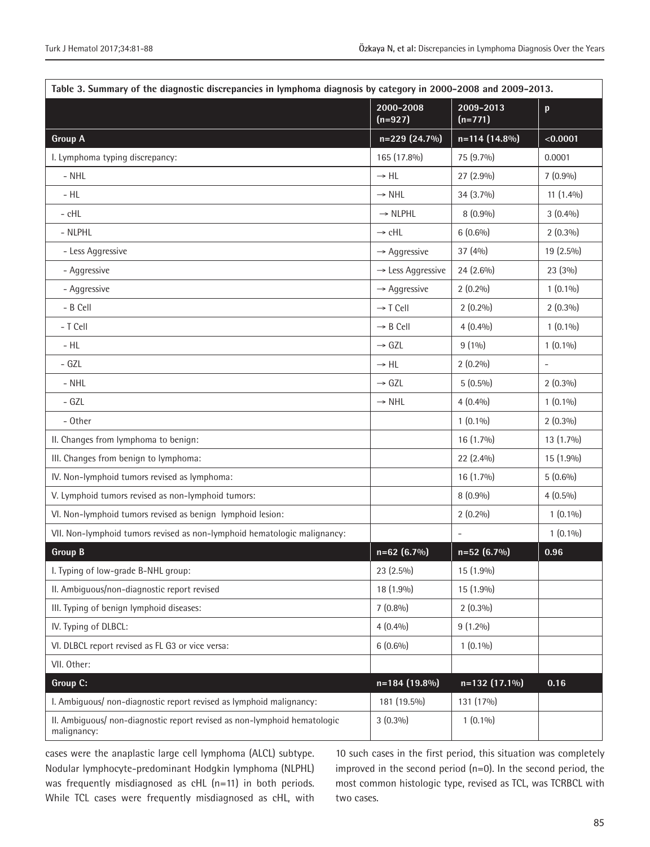| Table 3. Summary of the diagnostic discrepancies in lymphoma diagnosis by category in 2000-2008 and 2009-2013. |                               |                        |                           |  |  |  |  |  |
|----------------------------------------------------------------------------------------------------------------|-------------------------------|------------------------|---------------------------|--|--|--|--|--|
|                                                                                                                | 2000-2008<br>$(n=927)$        | 2009-2013<br>$(n=771)$ | $\boldsymbol{\mathsf{p}}$ |  |  |  |  |  |
| <b>Group A</b>                                                                                                 | n=229 (24.7%)                 | $n=114(14.8\%)$        | < 0.0001                  |  |  |  |  |  |
| I. Lymphoma typing discrepancy:                                                                                | 165 (17.8%)                   | 75 (9.7%)              | 0.0001                    |  |  |  |  |  |
| $-$ NHL                                                                                                        | $\rightarrow$ HL              | $27(2.9\%)$            | $7(0.9\%)$                |  |  |  |  |  |
| $-HL$                                                                                                          | $\rightarrow$ NHL             | 34 (3.7%)              | $11(1.4\%)$               |  |  |  |  |  |
| - cHL                                                                                                          | $\rightarrow$ NLPHL           | $8(0.9\%)$             | $3(0.4\%)$                |  |  |  |  |  |
| - NLPHL                                                                                                        | $\rightarrow$ cHL             | $6(0.6\%)$             | $2(0.3\%)$                |  |  |  |  |  |
| - Less Aggressive                                                                                              | $\rightarrow$ Aggressive      | 37 (4%)                | 19 (2.5%)                 |  |  |  |  |  |
| - Aggressive                                                                                                   | $\rightarrow$ Less Aggressive | 24 (2.6%)              | 23 (3%)                   |  |  |  |  |  |
| - Aggressive                                                                                                   | $\rightarrow$ Aggressive      | $2(0.2\%)$             | $1(0.1\%)$                |  |  |  |  |  |
| - B Cell                                                                                                       | $\rightarrow$ T Cell          | $2(0.2\%)$             | $2(0.3\%)$                |  |  |  |  |  |
| - T Cell                                                                                                       | $\rightarrow$ B Cell          | $4(0.4\%)$             | $1(0.1\%)$                |  |  |  |  |  |
| $-HL$                                                                                                          | $\rightarrow$ GZL             | $9(1\%)$               | $1(0.1\%)$                |  |  |  |  |  |
| - GZL                                                                                                          | $\rightarrow$ HL              | $2(0.2\%)$             | $\overline{\phantom{a}}$  |  |  |  |  |  |
| $-$ NHL                                                                                                        | $\rightarrow$ GZL             | $5(0.5\%)$             | $2(0.3\%)$                |  |  |  |  |  |
| - GZL                                                                                                          | $\rightarrow$ NHL             | $4(0.4\%)$             | $1(0.1\%)$                |  |  |  |  |  |
| - Other                                                                                                        |                               | $1(0.1\%)$             | $2(0.3\%)$                |  |  |  |  |  |
| II. Changes from lymphoma to benign:                                                                           |                               | $16(1.7\%)$            | $13(1.7\%)$               |  |  |  |  |  |
| III. Changes from benign to lymphoma:                                                                          |                               | 22 (2.4%)              | 15 (1.9%)                 |  |  |  |  |  |
| IV. Non-lymphoid tumors revised as lymphoma:                                                                   |                               | 16 (1.7%)              | $5(0.6\%)$                |  |  |  |  |  |
| V. Lymphoid tumors revised as non-lymphoid tumors:                                                             |                               | $8(0.9\%)$             | $4(0.5\%)$                |  |  |  |  |  |
| VI. Non-lymphoid tumors revised as benign lymphoid lesion:                                                     |                               | $2(0.2\%)$             | $1(0.1\%)$                |  |  |  |  |  |
| VII. Non-lymphoid tumors revised as non-lymphoid hematologic malignancy:                                       |                               |                        | $1(0.1\%)$                |  |  |  |  |  |
| <b>Group B</b>                                                                                                 | $n=62(6.7\%)$                 | $n=52(6.7%)$           | 0.96                      |  |  |  |  |  |
| I. Typing of low-grade B-NHL group:                                                                            | 23 (2.5%)                     | 15 (1.9%)              |                           |  |  |  |  |  |
| II. Ambiguous/non-diagnostic report revised                                                                    | 18 (1.9%)                     | 15 (1.9%)              |                           |  |  |  |  |  |
| III. Typing of benign lymphoid diseases:                                                                       | $7(0.8\%)$                    | $2(0.3\%)$             |                           |  |  |  |  |  |
| IV. Typing of DLBCL:                                                                                           | $4(0.4\%)$                    | $9(1.2\%)$             |                           |  |  |  |  |  |
| VI. DLBCL report revised as FL G3 or vice versa:                                                               | $6(0.6\%)$                    | $1(0.1\%)$             |                           |  |  |  |  |  |
| VII. Other:                                                                                                    |                               |                        |                           |  |  |  |  |  |
| Group C:                                                                                                       | $n=184(19.8\%)$               | n=132 (17.1%)          | 0.16                      |  |  |  |  |  |
| I. Ambiguous/ non-diagnostic report revised as lymphoid malignancy:                                            | 181 (19.5%)                   | 131 (17%)              |                           |  |  |  |  |  |
| II. Ambiguous/ non-diagnostic report revised as non-lymphoid hematologic<br>malignancy:                        | $3(0.3\%)$                    | $1(0.1\%)$             |                           |  |  |  |  |  |

cases were the anaplastic large cell lymphoma (ALCL) subtype. Nodular lymphocyte-predominant Hodgkin lymphoma (NLPHL) was frequently misdiagnosed as cHL (n=11) in both periods. While TCL cases were frequently misdiagnosed as cHL, with 10 such cases in the first period, this situation was completely improved in the second period (n=0). In the second period, the most common histologic type, revised as TCL, was TCRBCL with two cases.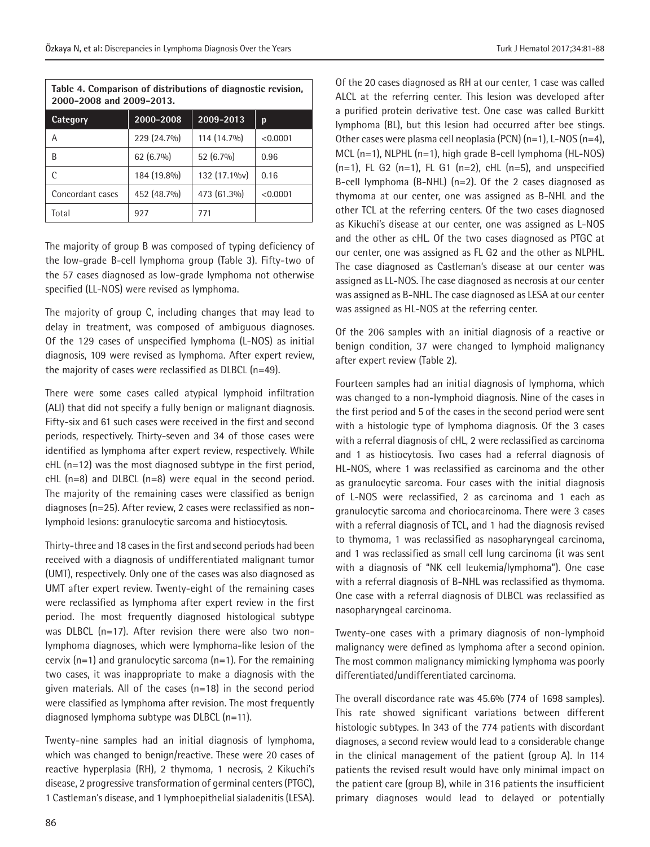| Table 4. Comparison of distributions of diagnostic revision, |
|--------------------------------------------------------------|
| 2000-2008 and 2009-2013.                                     |

| Category         | 2000-2008   | 2009-2013    | р        |
|------------------|-------------|--------------|----------|
| Α                | 229 (24.7%) | 114 (14.7%)  | < 0.0001 |
| B                | $62(6.7\%)$ | 52 (6.7%)    | 0.96     |
|                  | 184 (19.8%) | 132 (17.1%v) | 0.16     |
| Concordant cases | 452 (48.7%) | 473 (61.3%)  | < 0.0001 |
| Total            | 927         | 771          |          |

The majority of group B was composed of typing deficiency of the low-grade B-cell lymphoma group (Table 3). Fifty-two of the 57 cases diagnosed as low-grade lymphoma not otherwise specified (LL-NOS) were revised as lymphoma.

The majority of group C, including changes that may lead to delay in treatment, was composed of ambiguous diagnoses. Of the 129 cases of unspecified lymphoma (L-NOS) as initial diagnosis, 109 were revised as lymphoma. After expert review, the majority of cases were reclassified as DLBCL (n=49).

There were some cases called atypical lymphoid infiltration (ALI) that did not specify a fully benign or malignant diagnosis. Fifty-six and 61 such cases were received in the first and second periods, respectively. Thirty-seven and 34 of those cases were identified as lymphoma after expert review, respectively. While cHL (n=12) was the most diagnosed subtype in the first period, cHL (n=8) and DLBCL (n=8) were equal in the second period. The majority of the remaining cases were classified as benign diagnoses (n=25). After review, 2 cases were reclassified as nonlymphoid lesions: granulocytic sarcoma and histiocytosis.

Thirty-three and 18 cases in the first and second periods had been received with a diagnosis of undifferentiated malignant tumor (UMT), respectively. Only one of the cases was also diagnosed as UMT after expert review. Twenty-eight of the remaining cases were reclassified as lymphoma after expert review in the first period. The most frequently diagnosed histological subtype was DLBCL (n=17). After revision there were also two nonlymphoma diagnoses, which were lymphoma-like lesion of the cervix (n=1) and granulocytic sarcoma (n=1). For the remaining two cases, it was inappropriate to make a diagnosis with the given materials. All of the cases (n=18) in the second period were classified as lymphoma after revision. The most frequently diagnosed lymphoma subtype was DLBCL (n=11).

Twenty-nine samples had an initial diagnosis of lymphoma, which was changed to benign/reactive. These were 20 cases of reactive hyperplasia (RH), 2 thymoma, 1 necrosis, 2 Kikuchi's disease, 2 progressive transformation of germinal centers (PTGC), 1 Castleman's disease, and 1 lymphoepithelial sialadenitis (LESA).

Of the 20 cases diagnosed as RH at our center, 1 case was called ALCL at the referring center. This lesion was developed after a purified protein derivative test. One case was called Burkitt lymphoma (BL), but this lesion had occurred after bee stings. Other cases were plasma cell neoplasia (PCN) (n=1), L-NOS (n=4), MCL (n=1), NLPHL (n=1), high grade B-cell lymphoma (HL-NOS)  $(n=1)$ , FL G2  $(n=1)$ , FL G1  $(n=2)$ , cHL  $(n=5)$ , and unspecified B-cell lymphoma (B-NHL) (n=2). Of the 2 cases diagnosed as thymoma at our center, one was assigned as B-NHL and the other TCL at the referring centers. Of the two cases diagnosed as Kikuchi's disease at our center, one was assigned as L-NOS and the other as cHL. Of the two cases diagnosed as PTGC at our center, one was assigned as FL G2 and the other as NLPHL. The case diagnosed as Castleman's disease at our center was assigned as LL-NOS. The case diagnosed as necrosis at our center was assigned as B-NHL. The case diagnosed as LESA at our center was assigned as HL-NOS at the referring center.

Of the 206 samples with an initial diagnosis of a reactive or benign condition, 37 were changed to lymphoid malignancy after expert review (Table 2).

Fourteen samples had an initial diagnosis of lymphoma, which was changed to a non-lymphoid diagnosis. Nine of the cases in the first period and 5 of the cases in the second period were sent with a histologic type of lymphoma diagnosis. Of the 3 cases with a referral diagnosis of cHL, 2 were reclassified as carcinoma and 1 as histiocytosis. Two cases had a referral diagnosis of HL-NOS, where 1 was reclassified as carcinoma and the other as granulocytic sarcoma. Four cases with the initial diagnosis of L-NOS were reclassified, 2 as carcinoma and 1 each as granulocytic sarcoma and choriocarcinoma. There were 3 cases with a referral diagnosis of TCL, and 1 had the diagnosis revised to thymoma, 1 was reclassified as nasopharyngeal carcinoma, and 1 was reclassified as small cell lung carcinoma (it was sent with a diagnosis of "NK cell leukemia/lymphoma"). One case with a referral diagnosis of B-NHL was reclassified as thymoma. One case with a referral diagnosis of DLBCL was reclassified as nasopharyngeal carcinoma.

Twenty-one cases with a primary diagnosis of non-lymphoid malignancy were defined as lymphoma after a second opinion. The most common malignancy mimicking lymphoma was poorly differentiated/undifferentiated carcinoma.

The overall discordance rate was 45.6% (774 of 1698 samples). This rate showed significant variations between different histologic subtypes. In 343 of the 774 patients with discordant diagnoses, a second review would lead to a considerable change in the clinical management of the patient (group A). In 114 patients the revised result would have only minimal impact on the patient care (group B), while in 316 patients the insufficient primary diagnoses would lead to delayed or potentially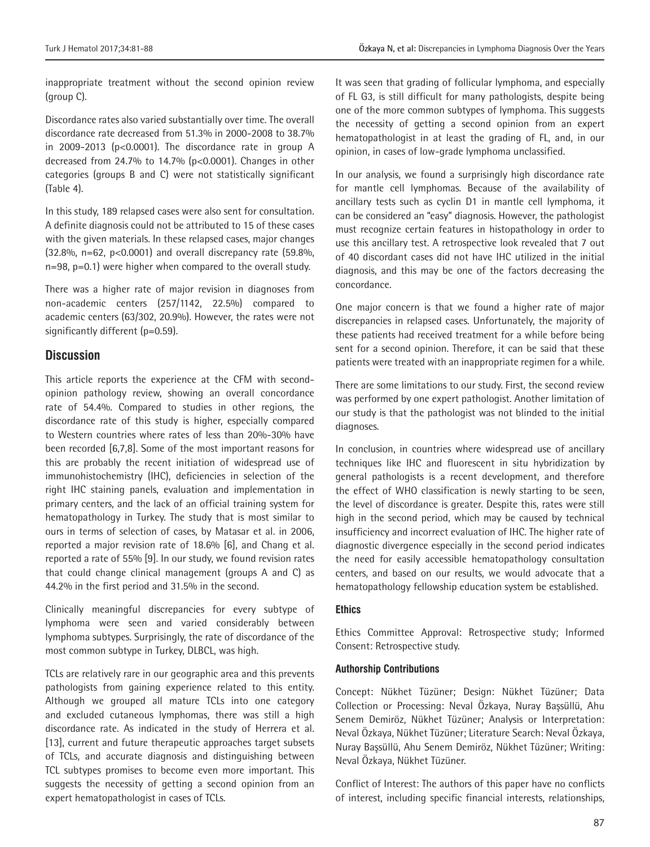inappropriate treatment without the second opinion review (group C).

Discordance rates also varied substantially over time. The overall discordance rate decreased from 51.3% in 2000-2008 to 38.7% in 2009-2013 (p<0.0001). The discordance rate in group A decreased from 24.7% to 14.7% (p<0.0001). Changes in other categories (groups B and C) were not statistically significant (Table 4).

In this study, 189 relapsed cases were also sent for consultation. A definite diagnosis could not be attributed to 15 of these cases with the given materials. In these relapsed cases, major changes (32.8%, n=62, p<0.0001) and overall discrepancy rate (59.8%, n=98, p=0.1) were higher when compared to the overall study.

There was a higher rate of major revision in diagnoses from non-academic centers (257/1142, 22.5%) compared to academic centers (63/302, 20.9%). However, the rates were not significantly different (p=0.59).

### **Discussion**

This article reports the experience at the CFM with secondopinion pathology review, showing an overall concordance rate of 54.4%. Compared to studies in other regions, the discordance rate of this study is higher, especially compared to Western countries where rates of less than 20%-30% have been recorded [6,7,8]. Some of the most important reasons for this are probably the recent initiation of widespread use of immunohistochemistry (IHC), deficiencies in selection of the right IHC staining panels, evaluation and implementation in primary centers, and the lack of an official training system for hematopathology in Turkey. The study that is most similar to ours in terms of selection of cases, by Matasar et al. in 2006, reported a major revision rate of 18.6% [6], and Chang et al. reported a rate of 55% [9]. In our study, we found revision rates that could change clinical management (groups A and C) as 44.2% in the first period and 31.5% in the second.

Clinically meaningful discrepancies for every subtype of lymphoma were seen and varied considerably between lymphoma subtypes. Surprisingly, the rate of discordance of the most common subtype in Turkey, DLBCL, was high.

TCLs are relatively rare in our geographic area and this prevents pathologists from gaining experience related to this entity. Although we grouped all mature TCLs into one category and excluded cutaneous lymphomas, there was still a high discordance rate. As indicated in the study of Herrera et al. [13], current and future therapeutic approaches target subsets of TCLs, and accurate diagnosis and distinguishing between TCL subtypes promises to become even more important. This suggests the necessity of getting a second opinion from an expert hematopathologist in cases of TCLs.

It was seen that grading of follicular lymphoma, and especially of FL G3, is still difficult for many pathologists, despite being one of the more common subtypes of lymphoma. This suggests the necessity of getting a second opinion from an expert hematopathologist in at least the grading of FL, and, in our opinion, in cases of low-grade lymphoma unclassified.

In our analysis, we found a surprisingly high discordance rate for mantle cell lymphomas. Because of the availability of ancillary tests such as cyclin D1 in mantle cell lymphoma, it can be considered an "easy" diagnosis. However, the pathologist must recognize certain features in histopathology in order to use this ancillary test. A retrospective look revealed that 7 out of 40 discordant cases did not have IHC utilized in the initial diagnosis, and this may be one of the factors decreasing the concordance.

One major concern is that we found a higher rate of major discrepancies in relapsed cases. Unfortunately, the majority of these patients had received treatment for a while before being sent for a second opinion. Therefore, it can be said that these patients were treated with an inappropriate regimen for a while.

There are some limitations to our study. First, the second review was performed by one expert pathologist. Another limitation of our study is that the pathologist was not blinded to the initial diagnoses.

In conclusion, in countries where widespread use of ancillary techniques like IHC and fluorescent in situ hybridization by general pathologists is a recent development, and therefore the effect of WHO classification is newly starting to be seen, the level of discordance is greater. Despite this, rates were still high in the second period, which may be caused by technical insufficiency and incorrect evaluation of IHC. The higher rate of diagnostic divergence especially in the second period indicates the need for easily accessible hematopathology consultation centers, and based on our results, we would advocate that a hematopathology fellowship education system be established.

#### **Ethics**

Ethics Committee Approval: Retrospective study; Informed Consent: Retrospective study.

#### **Authorship Contributions**

Concept: Nükhet Tüzüner; Design: Nükhet Tüzüner; Data Collection or Processing: Neval Özkaya, Nuray Başsüllü, Ahu Senem Demiröz, Nükhet Tüzüner; Analysis or Interpretation: Neval Özkaya, Nükhet Tüzüner; Literature Search: Neval Özkaya, Nuray Başsüllü, Ahu Senem Demiröz, Nükhet Tüzüner; Writing: Neval Özkaya, Nükhet Tüzüner.

Conflict of Interest: The authors of this paper have no conflicts of interest, including specific financial interests, relationships,